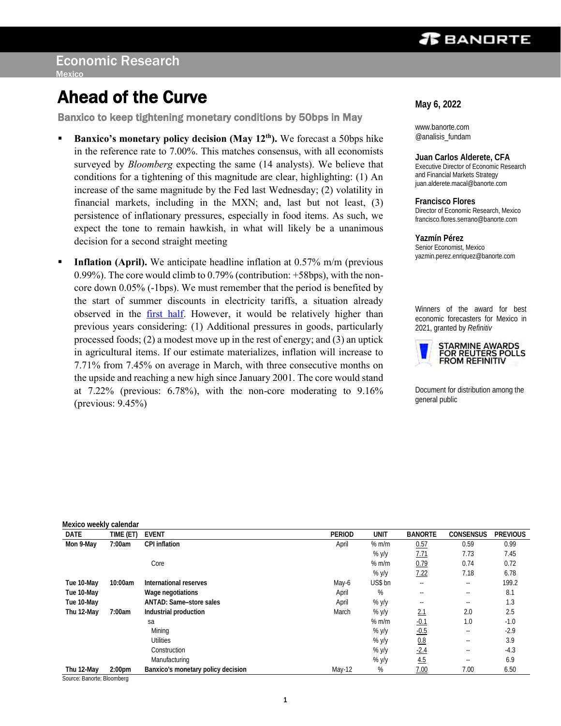# *TBANDRTE*

Ī

# Ahead of the Curve

Banxico to keep tightening monetary conditions by 50bps in May

- **EXECUTE:** Banxico's monetary policy decision (May 12<sup>th</sup>). We forecast a 50bps hike in the reference rate to 7.00%. This matches consensus, with all economists surveyed by *Bloomberg* expecting the same (14 analysts). We believe that conditions for a tightening of this magnitude are clear, highlighting: (1) An increase of the same magnitude by the Fed last Wednesday; (2) volatility in financial markets, including in the MXN; and, last but not least, (3) persistence of inflationary pressures, especially in food items. As such, we expect the tone to remain hawkish, in what will likely be a unanimous decision for a second straight meeting
- **Inflation (April).** We anticipate headline inflation at 0.57% m/m (previous 0.99%). The core would climb to 0.79% (contribution: +58bps), with the noncore down 0.05% (-1bps). We must remember that the period is benefited by the start of summer discounts in electricity tariffs, a situation already observed in the [first half.](https://www.banorte.com/cms/casadebolsabanorteixe/analisisyestrategia/analisiseconomico/mexico/20220422_Inflation_1H_Apr.pdf) However, it would be relatively higher than previous years considering: (1) Additional pressures in goods, particularly processed foods; (2) a modest move up in the rest of energy; and (3) an uptick in agricultural items. If our estimate materializes, inflation will increase to 7.71% from 7.45% on average in March, with three consecutive months on the upside and reaching a new high since January 2001. The core would stand at 7.22% (previous: 6.78%), with the non-core moderating to 9.16% (previous:  $9.45\%$ )

**May 6, 2022**

ı

www.banorte.com @analisis\_fundam

**Juan Carlos Alderete, CFA** Executive Director of Economic Research and Financial Markets Strategy juan.alderete.macal@banorte.com

**Francisco Flores** Director of Economic Research, Mexico francisco.flores.serrano@banorte.com

**Yazmín Pérez** Senior Economist, Mexico yazmin.perez.enriquez@banorte.com

Winners of the award for best economic forecasters for Mexico in 2021, granted by *Refinitiv*



Document for distribution among the general public

| Mexico weekly calendar |                           |                                    |        |         |                |            |                 |
|------------------------|---------------------------|------------------------------------|--------|---------|----------------|------------|-----------------|
| DATE                   | TIME (ET                  | <b>EVENT</b>                       | PERIOD | UNIT    | <b>BANORTE</b> | CONSENSUS  | <b>PREVIOUS</b> |
| Mon 9-May              | 7:00am                    | CPI inflation                      | April  | % m/m   | 0.57           | 0.59       | 0.99            |
|                        |                           |                                    |        | % $y/y$ | 7.71           | 7.73       | 7.45            |
|                        |                           | Core                               |        | $%$ m/m | 0.79           | 0.74       | 0.72            |
|                        |                           |                                    |        | % $y/y$ | 7.22           | 7.18       | 6.78            |
| Tue 10-May             | 10:00am                   | International reserves             | May-6  | US\$ bn | $\sim$ $-$     | $\sim$ $-$ | 199.2           |
| Tue 10-May             |                           | Wage negotiations                  | April  | %       | $-$            | $- -$      | 8.1             |
| Tue 10-May             |                           | ANTAD: Same-store sales            | April  | % y/y   | $- -$          | $- -$      | 1.3             |
| Thu 12-May             | 7:00am                    | Industrial production              | March  | % y/y   | 2.1            | 2.0        | 2.5             |
|                        |                           | sa                                 |        | $%$ m/m | <u>-0.1</u>    | 1.0        | $-1.0$          |
|                        |                           | Mining                             |        | % y/y   | $-0.5$         | $- -$      | $-2.9$          |
|                        |                           | <b>Utilities</b>                   |        | % y/y   | 0.8            | $- -$      | 3.9             |
|                        |                           | Construction                       |        | % y/y   | $-2.4$         | $\sim$ $-$ | $-4.3$          |
|                        |                           | Manufacturing                      |        | % y/y   | 4.5            | $\sim$ $-$ | 6.9             |
| Thu 12-May             | 2:00 <sub>pm</sub><br>$-$ | Banxico's monetary policy decision | May-12 | %       | 7.00           | 7.00       | 6.50            |

Source: Banorte; Bloomberg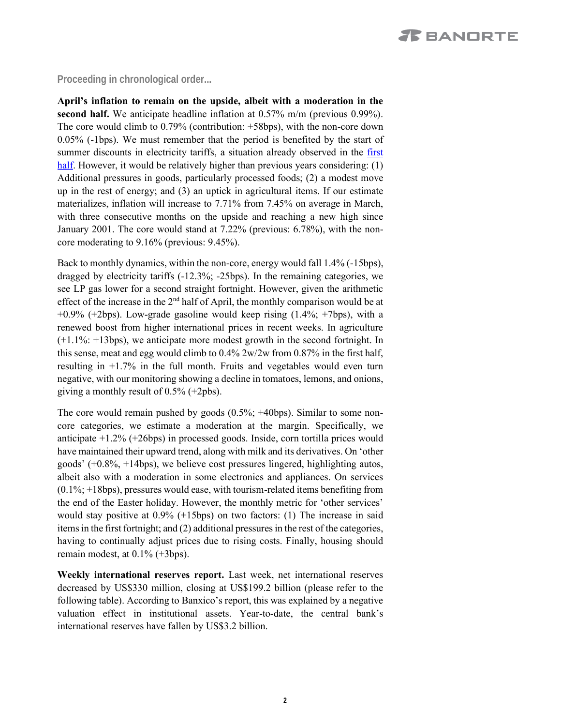# **Proceeding in chronological order...**

<span id="page-1-0"></span>**April's inflation to remain on the upside, albeit with a moderation in the second half.** We anticipate headline inflation at 0.57% m/m (previous 0.99%). The core would climb to 0.79% (contribution: +58bps), with the non-core down 0.05% (-1bps). We must remember that the period is benefited by the start of summer discounts in electricity tariffs, a situation already observed in the first [half.](https://www.banorte.com/cms/casadebolsabanorteixe/analisisyestrategia/analisiseconomico/mexico/20220422_Inflation_1H_Apr.pdf) However, it would be relatively higher than previous years considering: (1) Additional pressures in goods, particularly processed foods; (2) a modest move up in the rest of energy; and (3) an uptick in agricultural items. If our estimate materializes, inflation will increase to 7.71% from 7.45% on average in March, with three consecutive months on the upside and reaching a new high since January 2001. The core would stand at 7.22% (previous: 6.78%), with the noncore moderating to 9.16% (previous: 9.45%).

Back to monthly dynamics, within the non-core, energy would fall 1.4% (-15bps), dragged by electricity tariffs (-12.3%; -25bps). In the remaining categories, we see LP gas lower for a second straight fortnight. However, given the arithmetic effect of the increase in the  $2<sup>nd</sup>$  half of April, the monthly comparison would be at  $+0.9\%$  ( $+2$ bps). Low-grade gasoline would keep rising (1.4%;  $+7$ bps), with a renewed boost from higher international prices in recent weeks. In agriculture (+1.1%: +13bps), we anticipate more modest growth in the second fortnight. In this sense, meat and egg would climb to 0.4% 2w/2w from 0.87% in the first half, resulting in +1.7% in the full month. Fruits and vegetables would even turn negative, with our monitoring showing a decline in tomatoes, lemons, and onions, giving a monthly result of 0.5% (+2pbs).

The core would remain pushed by goods (0.5%; +40bps). Similar to some noncore categories, we estimate a moderation at the margin. Specifically, we anticipate +1.2% (+26bps) in processed goods. Inside, corn tortilla prices would have maintained their upward trend, along with milk and its derivatives. On 'other goods' (+0.8%, +14bps), we believe cost pressures lingered, highlighting autos, albeit also with a moderation in some electronics and appliances. On services  $(0.1\%; +18bps)$ , pressures would ease, with tourism-related items benefiting from the end of the Easter holiday. However, the monthly metric for 'other services' would stay positive at 0.9% (+15bps) on two factors: (1) The increase in said items in the first fortnight; and (2) additional pressures in the rest of the categories, having to continually adjust prices due to rising costs. Finally, housing should remain modest, at 0.1% (+3bps).

**Weekly international reserves report.** Last week, net international reserves decreased by US\$330 million, closing at US\$199.2 billion (please refer to the following table). According to Banxico's report, this was explained by a negative valuation effect in institutional assets. Year-to-date, the central bank's international reserves have fallen by US\$3.2 billion.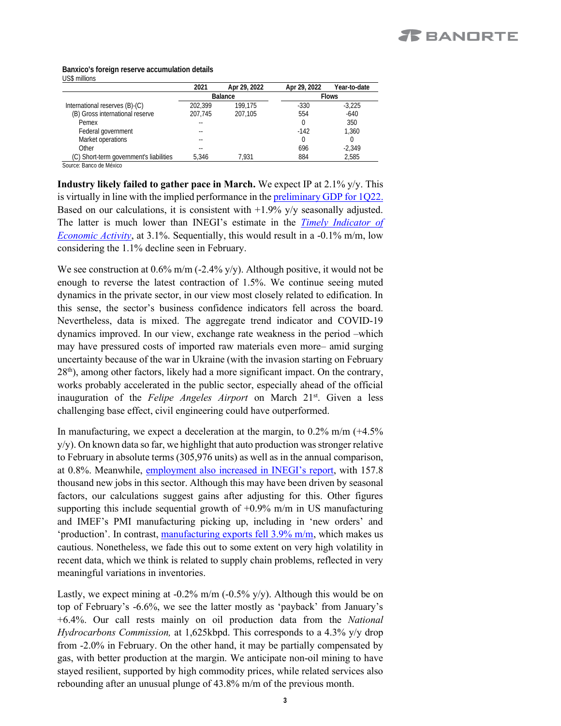### **Banxico's foreign reserve accumulation details** US\$ millions

|                                         | 2021    | Apr 29, 2022 | Apr 29, 2022 | Year-to-date |
|-----------------------------------------|---------|--------------|--------------|--------------|
|                                         |         | Balance      |              | <b>Flows</b> |
| International reserves (B)-(C)          | 202.399 | 199.175      | $-330$       | $-3.225$     |
| (B) Gross international reserve         | 207.745 | 207.105      | 554          | $-640$       |
| Pemex                                   |         |              |              | 350          |
| Federal government                      |         |              | $-142$       | 1,360        |
| Market operations                       |         |              |              |              |
| Other                                   |         |              | 696          | $-2.349$     |
| (C) Short-term government's liabilities | 5.346   | 7.931        | 884          | 2.585        |

Source: Banco de México

**Industry likely failed to gather pace in March.** We expect IP at 2.1% y/y. This is virtually in line with the implied performance in the preliminary [GDP for 1Q22.](https://www.banorte.com/cms/casadebolsabanorteixe/analisisyestrategia/analisiseconomico/mexico/20220429_Preliminary_GDP_1Q22.pdf) Based on our calculations, it is consistent with  $+1.9\%$  y/y seasonally adjusted. The latter is much lower than INEGI's estimate in the *[Timely Indicator of](https://www.banorte.com/cms/casadebolsabanorteixe/analisisyestrategia/analisiseconomico/mexico/20220419_Timely_Indicator_Mar.pdf)  [Economic Activity](https://www.banorte.com/cms/casadebolsabanorteixe/analisisyestrategia/analisiseconomico/mexico/20220419_Timely_Indicator_Mar.pdf)*, at 3.1%. Sequentially, this would result in a -0.1% m/m, low considering the 1.1% decline seen in February.

We see construction at 0.6% m/m (-2.4% y/y). Although positive, it would not be enough to reverse the latest contraction of 1.5%. We continue seeing muted dynamics in the private sector, in our view most closely related to edification. In this sense, the sector's business confidence indicators fell across the board. Nevertheless, data is mixed. The aggregate trend indicator and COVID-19 dynamics improved. In our view, exchange rate weakness in the period –which may have pressured costs of imported raw materials even more– amid surging uncertainty because of the war in Ukraine (with the invasion starting on February  $28<sup>th</sup>$ ), among other factors, likely had a more significant impact. On the contrary, works probably accelerated in the public sector, especially ahead of the official inauguration of the *Felipe Angeles Airport* on March 21<sup>st</sup>. Given a less challenging base effect, civil engineering could have outperformed.

In manufacturing, we expect a deceleration at the margin, to  $0.2\%$  m/m (+4.5%) y/y). On known data so far, we highlight that auto production was stronger relative to February in absolute terms (305,976 units) as well as in the annual comparison, at 0.8%. Meanwhile, [employment also increased](https://www.banorte.com/cms/casadebolsabanorteixe/analisisyestrategia/analisiseconomico/mexico/20220428_Employment_Mar_22.pdf) in INEGI's report, with 157.8 thousand new jobs in this sector. Although this may have been driven by seasonal factors, our calculations suggest gains after adjusting for this. Other figures supporting this include sequential growth of  $+0.9\%$  m/m in US manufacturing and IMEF's PMI manufacturing picking up, including in 'new orders' and 'production'. In contrast, [manufacturing exports fell 3.9% m/m,](https://www.banorte.com/cms/casadebolsabanorteixe/analisisyestrategia/analisiseconomico/mexico/20220427_Trade_Balance_Mar_22.pdf) which makes us cautious. Nonetheless, we fade this out to some extent on very high volatility in recent data, which we think is related to supply chain problems, reflected in very meaningful variations in inventories.

Lastly, we expect mining at  $-0.2\%$  m/m  $(-0.5\%$  y/y). Although this would be on top of February's -6.6%, we see the latter mostly as 'payback' from January's +6.4%. Our call rests mainly on oil production data from the *National Hydrocarbons Commission,* at 1,625kbpd. This corresponds to a 4.3% y/y drop from -2.0% in February. On the other hand, it may be partially compensated by gas, with better production at the margin. We anticipate non-oil mining to have stayed resilient, supported by high commodity prices, while related services also rebounding after an unusual plunge of 43.8% m/m of the previous month.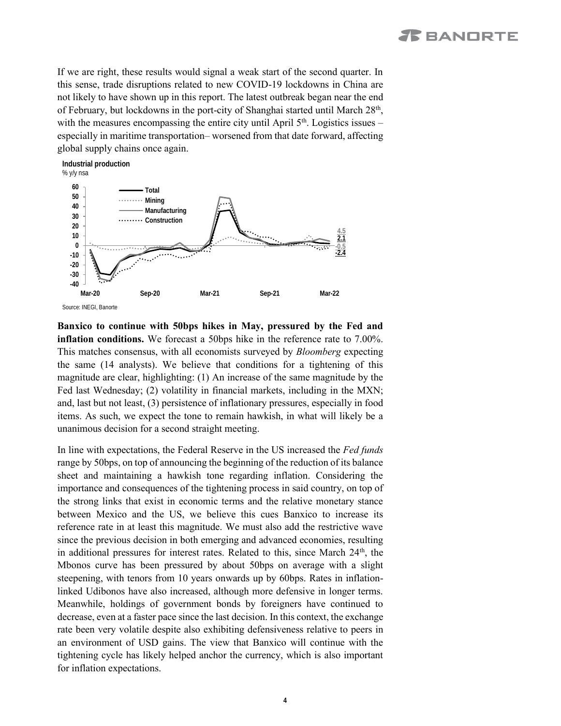If we are right, these results would signal a weak start of the second quarter. In this sense, trade disruptions related to new COVID-19 lockdowns in China are not likely to have shown up in this report. The latest outbreak began near the end of February, but lockdowns in the port-city of Shanghai started until March 28<sup>th</sup>, with the measures encompassing the entire city until April  $5<sup>th</sup>$ . Logistics issues – especially in maritime transportation– worsened from that date forward, affecting global supply chains once again.



**Banxico to continue with 50bps hikes in May, pressured by the Fed and inflation conditions.** We forecast a 50bps hike in the reference rate to 7.00%. This matches consensus, with all economists surveyed by *Bloomberg* expecting the same (14 analysts). We believe that conditions for a tightening of this magnitude are clear, highlighting: (1) An increase of the same magnitude by the Fed last Wednesday; (2) volatility in financial markets, including in the MXN; and, last but not least, (3) persistence of inflationary pressures, especially in food items. As such, we expect the tone to remain hawkish, in what will likely be a unanimous decision for a second straight meeting.

In line with expectations, the Federal Reserve in the US increased the *Fed funds* range by 50bps, on top of announcing the beginning of the reduction of its balance sheet and maintaining a hawkish tone regarding inflation. Considering the importance and consequences of the tightening process in said country, on top of the strong links that exist in economic terms and the relative monetary stance between Mexico and the US, we believe this cues Banxico to increase its reference rate in at least this magnitude. We must also add the restrictive wave since the previous decision in both emerging and advanced economies, resulting in additional pressures for interest rates. Related to this, since March  $24<sup>th</sup>$ , the Mbonos curve has been pressured by about 50bps on average with a slight steepening, with tenors from 10 years onwards up by 60bps. Rates in inflationlinked Udibonos have also increased, although more defensive in longer terms. Meanwhile, holdings of government bonds by foreigners have continued to decrease, even at a faster pace since the last decision. In this context, the exchange rate been very volatile despite also exhibiting defensiveness relative to peers in an environment of USD gains. The view that Banxico will continue with the tightening cycle has likely helped anchor the currency, which is also important for inflation expectations.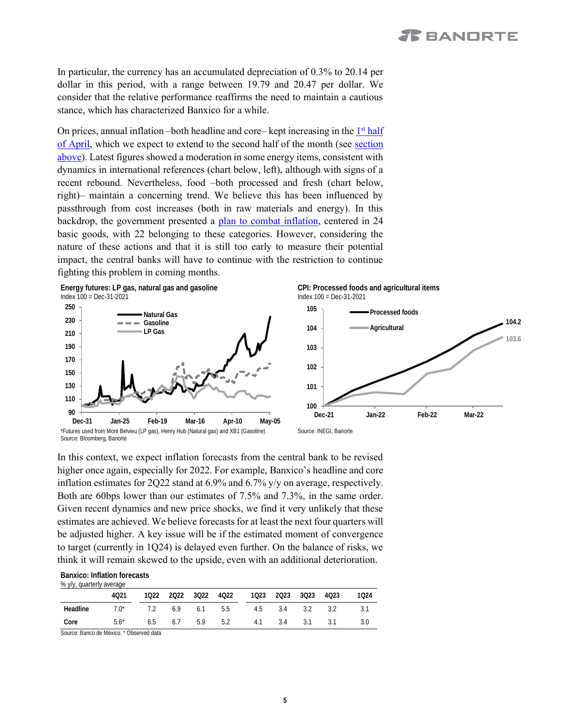In particular, the currency has an accumulated depreciation of 0.3% to 20.14 per dollar in this period, with a range between 19.79 and 20.47 per dollar. We consider that the relative performance reaffirms the need to maintain a cautious stance, which has characterized Banxico for a while.

On prices, annual inflation – both headline and core– kept increasing in the  $1<sup>st</sup>$  half [of April,](https://www.banorte.com/cms/casadebolsabanorteixe/analisisyestrategia/analisiseconomico/mexico/20220422_Inflation_1H_Apr.pdf) which we expect to extend to the second half of the month (see [section](#page-1-0)  [above\)](#page-1-0). Latest figures showed a moderation in some energy items, consistent with dynamics in international references (chart below, left), although with signs of a recent rebound. Nevertheless, food –both processed and fresh (chart below, right)– maintain a concerning trend. We believe this has been influenced by passthrough from cost increases (both in raw materials and energy). In this backdrop, the government presented a [plan to combat inflation,](https://www.banorte.com/cms/casadebolsabanorteixe/analisisyestrategia/analisiseconomico/mexico/20220504_Inflation_plan.pdf) centered in 24 basic goods, with 22 belonging to these categories. However, considering the nature of these actions and that it is still too early to measure their potential impact, the central banks will have to continue with the restriction to continue fighting this problem in coming months.



In this context, we expect inflation forecasts from the central bank to be revised higher once again, especially for 2022. For example, Banxico's headline and core inflation estimates for 2Q22 stand at 6.9% and 6.7% y/y on average, respectively. Both are 60bps lower than our estimates of 7.5% and 7.3%, in the same order. Given recent dynamics and new price shocks, we find it very unlikely that these estimates are achieved. We believe forecasts for at least the next four quarters will be adjusted higher. A key issue will be if the estimated moment of convergence to target (currently in 1Q24) is delayed even further. On the balance of risks, we think it will remain skewed to the upside, even with an additional deterioration.

**Banxico: Inflation forecasts**  % y/y, quarterly average

|          | 4021                                                          |  |  |  |  |  |  |  | 1022 2022 3022 4022 1023 2023 3023 4023 1024 |
|----------|---------------------------------------------------------------|--|--|--|--|--|--|--|----------------------------------------------|
| Headline | $7.0^*$ $7.2$ $6.9$ $6.1$ $5.5$ $4.5$ $3.4$ $3.2$ $3.2$ $3.1$ |  |  |  |  |  |  |  |                                              |
| Core     | 5.6* 6.5 6.7 5.9 5.2 4.1 3.4 3.1 3.1 3.0                      |  |  |  |  |  |  |  |                                              |
|          |                                                               |  |  |  |  |  |  |  |                                              |

Source: Banco de México. \* Observed data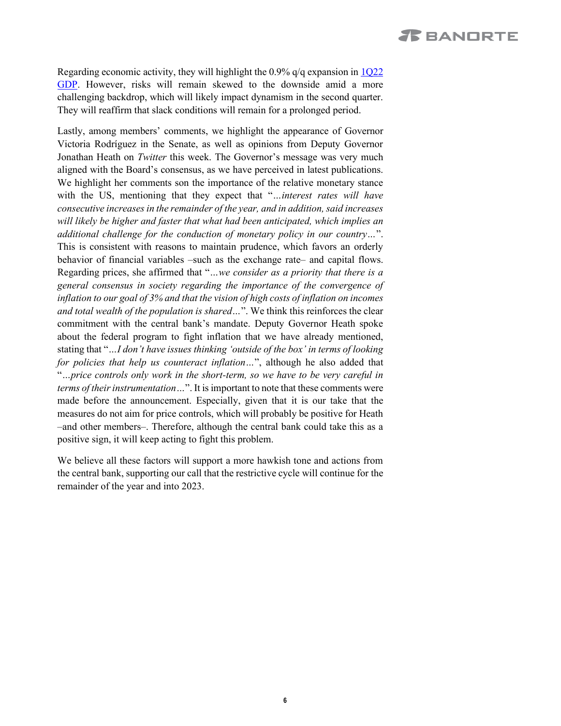# **X** BANORTE

Regarding economic activity, they will highlight the 0.9% q/q expansion in [1Q22](https://www.banorte.com/cms/casadebolsabanorteixe/analisisyestrategia/analisiseconomico/mexico/20220429_Preliminary_GDP_1Q22.pdf)  [GDP.](https://www.banorte.com/cms/casadebolsabanorteixe/analisisyestrategia/analisiseconomico/mexico/20220429_Preliminary_GDP_1Q22.pdf) However, risks will remain skewed to the downside amid a more challenging backdrop, which will likely impact dynamism in the second quarter. They will reaffirm that slack conditions will remain for a prolonged period.

Lastly, among members' comments, we highlight the appearance of Governor Victoria Rodríguez in the Senate, as well as opinions from Deputy Governor Jonathan Heath on *Twitter* this week. The Governor's message was very much aligned with the Board's consensus, as we have perceived in latest publications. We highlight her comments son the importance of the relative monetary stance with the US, mentioning that they expect that "*…interest rates will have consecutive increases in the remainder of the year, and in addition, said increases will likely be higher and faster that what had been anticipated, which implies an additional challenge for the conduction of monetary policy in our country…*". This is consistent with reasons to maintain prudence, which favors an orderly behavior of financial variables –such as the exchange rate– and capital flows. Regarding prices, she affirmed that "*…we consider as a priority that there is a general consensus in society regarding the importance of the convergence of inflation to our goal of 3% and that the vision of high costs of inflation on incomes and total wealth of the population is shared…*". We think this reinforces the clear commitment with the central bank's mandate. Deputy Governor Heath spoke about the federal program to fight inflation that we have already mentioned, stating that "*…I don't have issues thinking 'outside of the box' in terms of looking for policies that help us counteract inflation…*", although he also added that "*…price controls only work in the short-term, so we have to be very careful in terms of their instrumentation…*". It is important to note that these comments were made before the announcement. Especially, given that it is our take that the measures do not aim for price controls, which will probably be positive for Heath –and other members–. Therefore, although the central bank could take this as a positive sign, it will keep acting to fight this problem.

We believe all these factors will support a more hawkish tone and actions from the central bank, supporting our call that the restrictive cycle will continue for the remainder of the year and into 2023.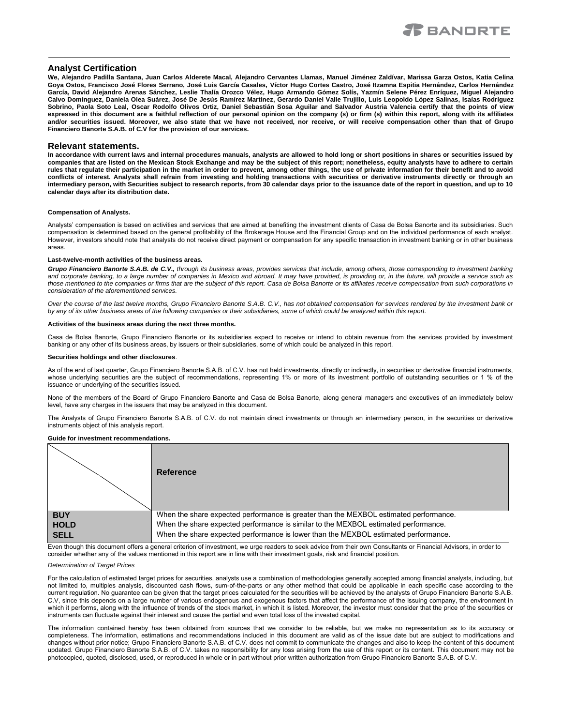## **Analyst Certification**

**We, Alejandro Padilla Santana, Juan Carlos Alderete Macal, Alejandro Cervantes Llamas, Manuel Jiménez Zaldívar, Marissa Garza Ostos, Katia Celina Goya Ostos, Francisco José Flores Serrano, José Luis García Casales, Víctor Hugo Cortes Castro, José Itzamna Espitia Hernández, Carlos Hernández García, David Alejandro Arenas Sánchez, Leslie Thalía Orozco Vélez, Hugo Armando Gómez Solís, Yazmín Selene Pérez Enríquez, Miguel Alejandro Calvo Domínguez, Daniela Olea Suárez, José De Jesús Ramírez Martínez, Gerardo Daniel Valle Trujillo, Luis Leopoldo López Salinas, Isaías Rodríguez Sobrino, Paola Soto Leal, Oscar Rodolfo Olivos Ortiz, Daniel Sebastián Sosa Aguilar and Salvador Austria Valencia certify that the points of view expressed in this document are a faithful reflection of our personal opinion on the company (s) or firm (s) within this report, along with its affiliates and/or securities issued. Moreover, we also state that we have not received, nor receive, or will receive compensation other than that of Grupo Financiero Banorte S.A.B. of C.V for the provision of our services.**

#### **Relevant statements.**

**In accordance with current laws and internal procedures manuals, analysts are allowed to hold long or short positions in shares or securities issued by companies that are listed on the Mexican Stock Exchange and may be the subject of this report; nonetheless, equity analysts have to adhere to certain rules that regulate their participation in the market in order to prevent, among other things, the use of private information for their benefit and to avoid conflicts of interest. Analysts shall refrain from investing and holding transactions with securities or derivative instruments directly or through an intermediary person, with Securities subject to research reports, from 30 calendar days prior to the issuance date of the report in question, and up to 10 calendar days after its distribution date.**

#### **Compensation of Analysts.**

Analysts' compensation is based on activities and services that are aimed at benefiting the investment clients of Casa de Bolsa Banorte and its subsidiaries. Such compensation is determined based on the general profitability of the Brokerage House and the Financial Group and on the individual performance of each analyst. However, investors should note that analysts do not receive direct payment or compensation for any specific transaction in investment banking or in other business areas.

#### **Last-twelve-month activities of the business areas.**

*Grupo Financiero Banorte S.A.B. de C.V., through its business areas, provides services that include, among others, those corresponding to investment banking*  and corporate banking, to a large number of companies in Mexico and abroad. It may have provided, is providing or, in the future, will provide a service such as *those mentioned to the companies or firms that are the subject of this report. Casa de Bolsa Banorte or its affiliates receive compensation from such corporations in consideration of the aforementioned services.*

*Over the course of the last twelve months, Grupo Financiero Banorte S.A.B. C.V., has not obtained compensation for services rendered by the investment bank or by any of its other business areas of the following companies or their subsidiaries, some of which could be analyzed within this report.*

#### **Activities of the business areas during the next three months.**

Casa de Bolsa Banorte, Grupo Financiero Banorte or its subsidiaries expect to receive or intend to obtain revenue from the services provided by investment banking or any other of its business areas, by issuers or their subsidiaries, some of which could be analyzed in this report.

#### **Securities holdings and other disclosures**.

As of the end of last quarter, Grupo Financiero Banorte S.A.B. of C.V. has not held investments, directly or indirectly, in securities or derivative financial instruments, whose underlying securities are the subject of recommendations, representing 1% or more of its investment portfolio of outstanding securities or 1 % of the issuance or underlying of the securities issued.

None of the members of the Board of Grupo Financiero Banorte and Casa de Bolsa Banorte, along general managers and executives of an immediately below level, have any charges in the issuers that may be analyzed in this document.

The Analysts of Grupo Financiero Banorte S.A.B. of C.V. do not maintain direct investments or through an intermediary person, in the securities or derivative instruments object of this analysis report.

#### **Guide for investment recommendations.**



Even though this document offers a general criterion of investment, we urge readers to seek advice from their own Consultants or Financial Advisors, in order to consider whether any of the values mentioned in this report are in line with their investment goals, risk and financial position.

#### *Determination of Target Prices*

For the calculation of estimated target prices for securities, analysts use a combination of methodologies generally accepted among financial analysts, including, but not limited to, multiples analysis, discounted cash flows, sum-of-the-parts or any other method that could be applicable in each specific case according to the current regulation. No guarantee can be given that the target prices calculated for the securities will be achieved by the analysts of Grupo Financiero Banorte S.A.B. C.V, since this depends on a large number of various endogenous and exogenous factors that affect the performance of the issuing company, the environment in which it performs, along with the influence of trends of the stock market, in which it is listed. Moreover, the investor must consider that the price of the securities or instruments can fluctuate against their interest and cause the partial and even total loss of the invested capital.

The information contained hereby has been obtained from sources that we consider to be reliable, but we make no representation as to its accuracy or completeness. The information, estimations and recommendations included in this document are valid as of the issue date but are subject to modifications and changes without prior notice; Grupo Financiero Banorte S.A.B. of C.V. does not commit to communicate the changes and also to keep the content of this document updated. Grupo Financiero Banorte S.A.B. of C.V. takes no responsibility for any loss arising from the use of this report or its content. This document may not be photocopied, quoted, disclosed, used, or reproduced in whole or in part without prior written authorization from Grupo Financiero Banorte S.A.B. of C.V.